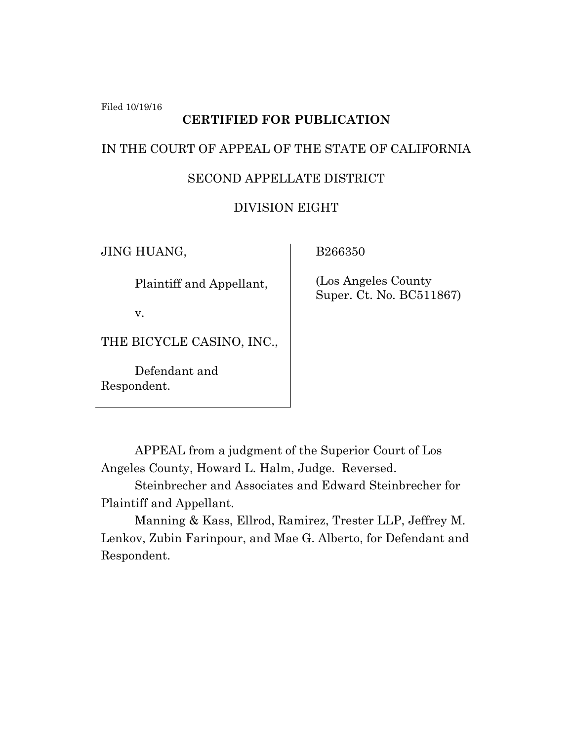Filed 10/19/16

# **CERTIFIED FOR PUBLICATION**

## IN THE COURT OF APPEAL OF THE STATE OF CALIFORNIA

# SECOND APPELLATE DISTRICT

# DIVISION EIGHT

JING HUANG,

Plaintiff and Appellant,

v.

THE BICYCLE CASINO, INC.,

Defendant and Respondent.

B266350

 (Los Angeles County Super. Ct. No. BC511867)

APPEAL from a judgment of the Superior Court of Los Angeles County, Howard L. Halm, Judge. Reversed.

Steinbrecher and Associates and Edward Steinbrecher for Plaintiff and Appellant.

Manning & Kass, Ellrod, Ramirez, Trester LLP, Jeffrey M. Lenkov, Zubin Farinpour, and Mae G. Alberto, for Defendant and Respondent.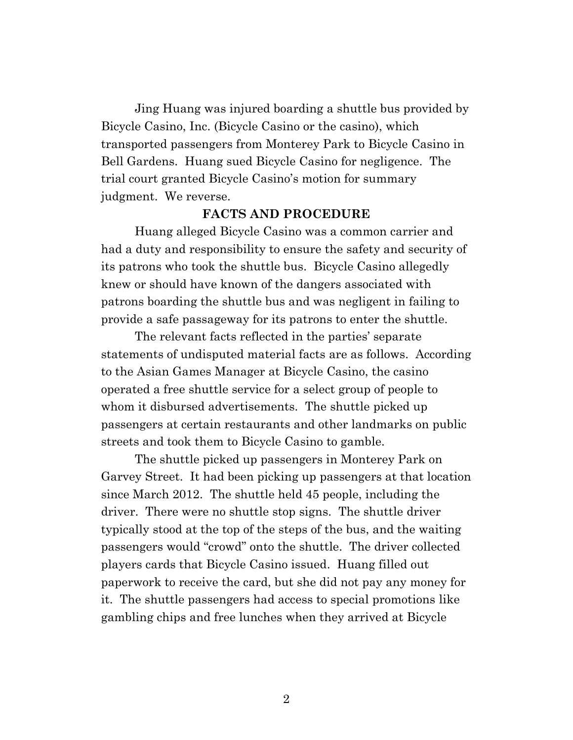Jing Huang was injured boarding a shuttle bus provided by Bicycle Casino, Inc. (Bicycle Casino or the casino), which transported passengers from Monterey Park to Bicycle Casino in Bell Gardens. Huang sued Bicycle Casino for negligence. The trial court granted Bicycle Casino's motion for summary judgment. We reverse.

### **FACTS AND PROCEDURE**

Huang alleged Bicycle Casino was a common carrier and had a duty and responsibility to ensure the safety and security of its patrons who took the shuttle bus. Bicycle Casino allegedly knew or should have known of the dangers associated with patrons boarding the shuttle bus and was negligent in failing to provide a safe passageway for its patrons to enter the shuttle.

The relevant facts reflected in the parties' separate statements of undisputed material facts are as follows. According to the Asian Games Manager at Bicycle Casino, the casino operated a free shuttle service for a select group of people to whom it disbursed advertisements. The shuttle picked up passengers at certain restaurants and other landmarks on public streets and took them to Bicycle Casino to gamble.

The shuttle picked up passengers in Monterey Park on Garvey Street. It had been picking up passengers at that location since March 2012. The shuttle held 45 people, including the driver. There were no shuttle stop signs. The shuttle driver typically stood at the top of the steps of the bus, and the waiting passengers would "crowd" onto the shuttle. The driver collected players cards that Bicycle Casino issued. Huang filled out paperwork to receive the card, but she did not pay any money for it. The shuttle passengers had access to special promotions like gambling chips and free lunches when they arrived at Bicycle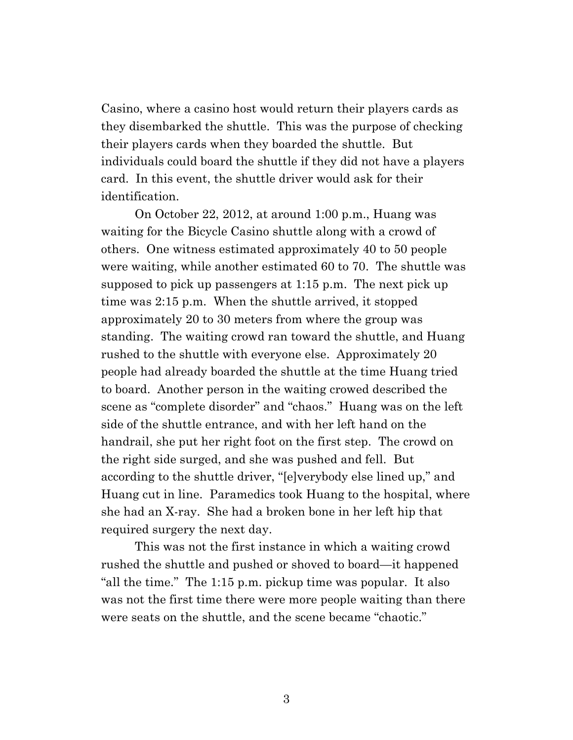Casino, where a casino host would return their players cards as they disembarked the shuttle. This was the purpose of checking their players cards when they boarded the shuttle. But individuals could board the shuttle if they did not have a players card. In this event, the shuttle driver would ask for their identification.

On October 22, 2012, at around 1:00 p.m., Huang was waiting for the Bicycle Casino shuttle along with a crowd of others. One witness estimated approximately 40 to 50 people were waiting, while another estimated 60 to 70. The shuttle was supposed to pick up passengers at 1:15 p.m. The next pick up time was 2:15 p.m. When the shuttle arrived, it stopped approximately 20 to 30 meters from where the group was standing. The waiting crowd ran toward the shuttle, and Huang rushed to the shuttle with everyone else. Approximately 20 people had already boarded the shuttle at the time Huang tried to board. Another person in the waiting crowed described the scene as "complete disorder" and "chaos." Huang was on the left side of the shuttle entrance, and with her left hand on the handrail, she put her right foot on the first step. The crowd on the right side surged, and she was pushed and fell. But according to the shuttle driver, "[e]verybody else lined up," and Huang cut in line. Paramedics took Huang to the hospital, where she had an X-ray. She had a broken bone in her left hip that required surgery the next day.

This was not the first instance in which a waiting crowd rushed the shuttle and pushed or shoved to board—it happened "all the time." The 1:15 p.m. pickup time was popular. It also was not the first time there were more people waiting than there were seats on the shuttle, and the scene became "chaotic."

3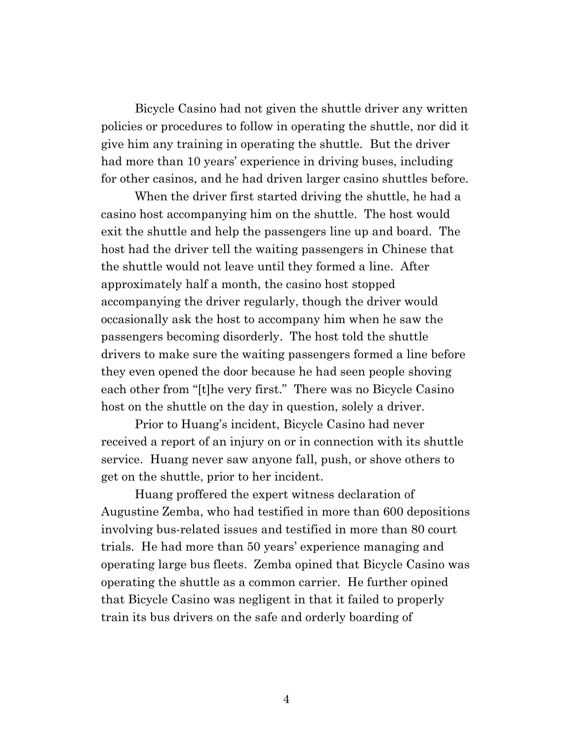Bicycle Casino had not given the shuttle driver any written policies or procedures to follow in operating the shuttle, nor did it give him any training in operating the shuttle. But the driver had more than 10 years' experience in driving buses, including for other casinos, and he had driven larger casino shuttles before.

When the driver first started driving the shuttle, he had a casino host accompanying him on the shuttle. The host would exit the shuttle and help the passengers line up and board. The host had the driver tell the waiting passengers in Chinese that the shuttle would not leave until they formed a line. After approximately half a month, the casino host stopped accompanying the driver regularly, though the driver would occasionally ask the host to accompany him when he saw the passengers becoming disorderly. The host told the shuttle drivers to make sure the waiting passengers formed a line before they even opened the door because he had seen people shoving each other from "[t]he very first." There was no Bicycle Casino host on the shuttle on the day in question, solely a driver.

Prior to Huang's incident, Bicycle Casino had never received a report of an injury on or in connection with its shuttle service. Huang never saw anyone fall, push, or shove others to get on the shuttle, prior to her incident.

Huang proffered the expert witness declaration of Augustine Zemba, who had testified in more than 600 depositions involving bus-related issues and testified in more than 80 court trials. He had more than 50 years' experience managing and operating large bus fleets. Zemba opined that Bicycle Casino was operating the shuttle as a common carrier. He further opined that Bicycle Casino was negligent in that it failed to properly train its bus drivers on the safe and orderly boarding of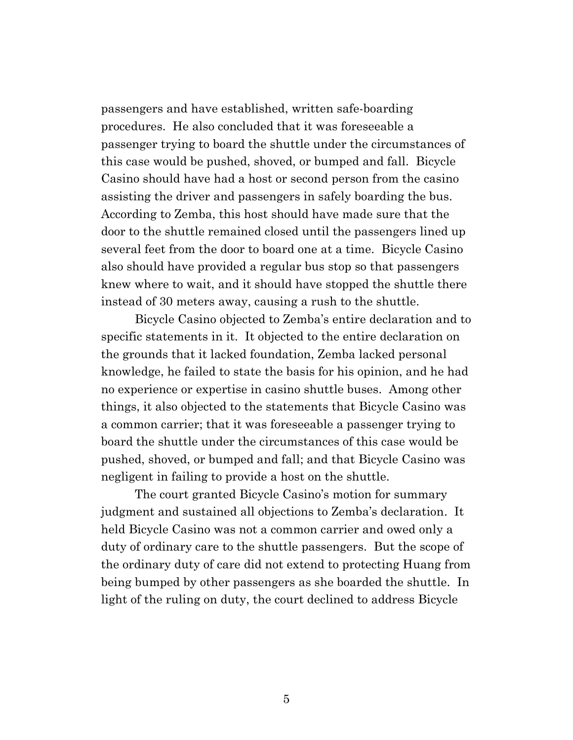passengers and have established, written safe-boarding procedures. He also concluded that it was foreseeable a passenger trying to board the shuttle under the circumstances of this case would be pushed, shoved, or bumped and fall. Bicycle Casino should have had a host or second person from the casino assisting the driver and passengers in safely boarding the bus. According to Zemba, this host should have made sure that the door to the shuttle remained closed until the passengers lined up several feet from the door to board one at a time. Bicycle Casino also should have provided a regular bus stop so that passengers knew where to wait, and it should have stopped the shuttle there instead of 30 meters away, causing a rush to the shuttle.

Bicycle Casino objected to Zemba's entire declaration and to specific statements in it. It objected to the entire declaration on the grounds that it lacked foundation, Zemba lacked personal knowledge, he failed to state the basis for his opinion, and he had no experience or expertise in casino shuttle buses. Among other things, it also objected to the statements that Bicycle Casino was a common carrier; that it was foreseeable a passenger trying to board the shuttle under the circumstances of this case would be pushed, shoved, or bumped and fall; and that Bicycle Casino was negligent in failing to provide a host on the shuttle.

The court granted Bicycle Casino's motion for summary judgment and sustained all objections to Zemba's declaration. It held Bicycle Casino was not a common carrier and owed only a duty of ordinary care to the shuttle passengers. But the scope of the ordinary duty of care did not extend to protecting Huang from being bumped by other passengers as she boarded the shuttle. In light of the ruling on duty, the court declined to address Bicycle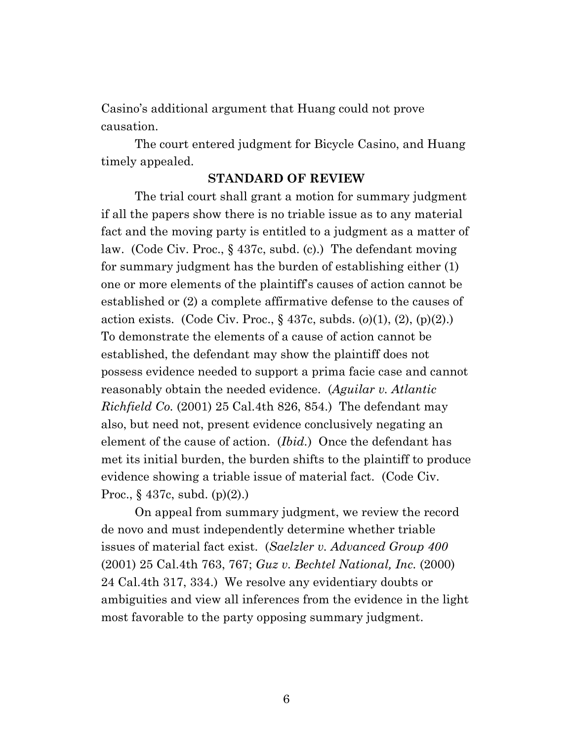Casino's additional argument that Huang could not prove causation.

The court entered judgment for Bicycle Casino, and Huang timely appealed.

### **STANDARD OF REVIEW**

The trial court shall grant a motion for summary judgment if all the papers show there is no triable issue as to any material fact and the moving party is entitled to a judgment as a matter of law. (Code Civ. Proc., § 437c, subd. (c).) The defendant moving for summary judgment has the burden of establishing either (1) one or more elements of the plaintiff's causes of action cannot be established or (2) a complete affirmative defense to the causes of action exists. (Code Civ. Proc., § 437c, subds. (*o*)(1), (2), (p)(2).) To demonstrate the elements of a cause of action cannot be established, the defendant may show the plaintiff does not possess evidence needed to support a prima facie case and cannot reasonably obtain the needed evidence. (*Aguilar v. Atlantic Richfield Co.* (2001) 25 Cal.4th 826, 854.) The defendant may also, but need not, present evidence conclusively negating an element of the cause of action. (*Ibid.*) Once the defendant has met its initial burden, the burden shifts to the plaintiff to produce evidence showing a triable issue of material fact. (Code Civ. Proc., § 437c, subd. (p)(2).)

On appeal from summary judgment, we review the record de novo and must independently determine whether triable issues of material fact exist. (*Saelzler v. Advanced Group 400* (2001) 25 Cal.4th 763, 767; *Guz v. Bechtel National, Inc.* (2000) 24 Cal.4th 317, 334.) We resolve any evidentiary doubts or ambiguities and view all inferences from the evidence in the light most favorable to the party opposing summary judgment.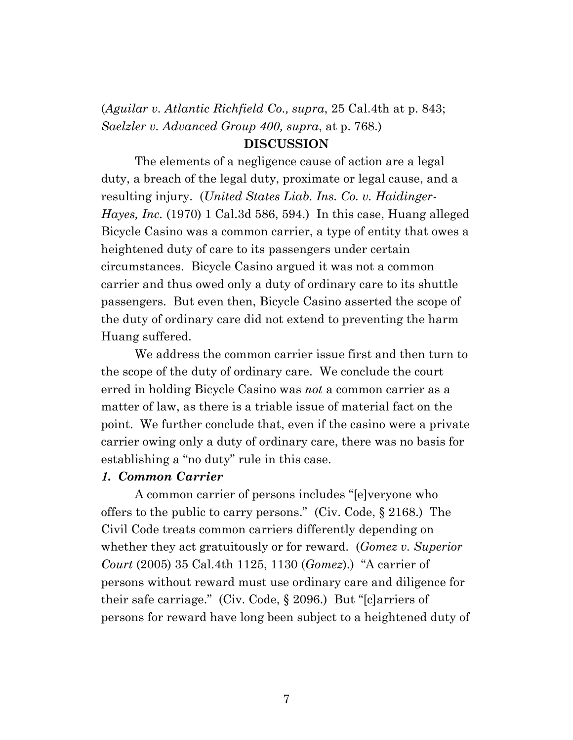(*Aguilar v. Atlantic Richfield Co., supra*, 25 Cal.4th at p. 843; *Saelzler v. Advanced Group 400, supra*, at p. 768.)

### **DISCUSSION**

The elements of a negligence cause of action are a legal duty, a breach of the legal duty, proximate or legal cause, and a resulting injury. (*United States Liab. Ins. Co. v. Haidinger-Hayes, Inc.* (1970) 1 Cal.3d 586, 594.) In this case, Huang alleged Bicycle Casino was a common carrier, a type of entity that owes a heightened duty of care to its passengers under certain circumstances. Bicycle Casino argued it was not a common carrier and thus owed only a duty of ordinary care to its shuttle passengers. But even then, Bicycle Casino asserted the scope of the duty of ordinary care did not extend to preventing the harm Huang suffered.

We address the common carrier issue first and then turn to the scope of the duty of ordinary care. We conclude the court erred in holding Bicycle Casino was *not* a common carrier as a matter of law, as there is a triable issue of material fact on the point. We further conclude that, even if the casino were a private carrier owing only a duty of ordinary care, there was no basis for establishing a "no duty" rule in this case.

#### *1. Common Carrier*

A common carrier of persons includes "[e]veryone who offers to the public to carry persons." (Civ. Code, § 2168.) The Civil Code treats common carriers differently depending on whether they act gratuitously or for reward. (*Gomez v. Superior Court* (2005) 35 Cal.4th 1125, 1130 (*Gomez*).) "A carrier of persons without reward must use ordinary care and diligence for their safe carriage." (Civ. Code, § 2096.) But "[c]arriers of persons for reward have long been subject to a heightened duty of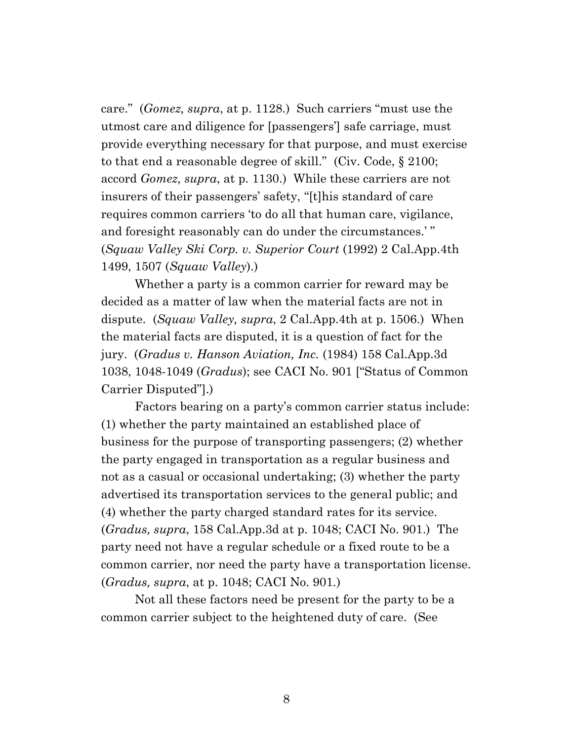care." (*Gomez, supra*, at p. 1128.) Such carriers "must use the utmost care and diligence for [passengers'] safe carriage, must provide everything necessary for that purpose, and must exercise to that end a reasonable degree of skill." (Civ. Code, § 2100; accord *Gomez, supra*, at p. 1130.) While these carriers are not insurers of their passengers' safety, "[t]his standard of care requires common carriers 'to do all that human care, vigilance, and foresight reasonably can do under the circumstances.' " (*Squaw Valley Ski Corp. v. Superior Court* (1992) 2 Cal.App.4th 1499, 1507 (*Squaw Valley*).)

Whether a party is a common carrier for reward may be decided as a matter of law when the material facts are not in dispute. (*Squaw Valley, supra*, 2 Cal.App.4th at p. 1506.) When the material facts are disputed, it is a question of fact for the jury. (*Gradus v. Hanson Aviation, Inc.* (1984) 158 Cal.App.3d 1038, 1048-1049 (*Gradus*); see CACI No. 901 ["Status of Common Carrier Disputed"].)

Factors bearing on a party's common carrier status include: (1) whether the party maintained an established place of business for the purpose of transporting passengers; (2) whether the party engaged in transportation as a regular business and not as a casual or occasional undertaking; (3) whether the party advertised its transportation services to the general public; and (4) whether the party charged standard rates for its service. (*Gradus, supra*, 158 Cal.App.3d at p. 1048; CACI No. 901.) The party need not have a regular schedule or a fixed route to be a common carrier, nor need the party have a transportation license. (*Gradus, supra*, at p. 1048; CACI No. 901*.*)

Not all these factors need be present for the party to be a common carrier subject to the heightened duty of care. (See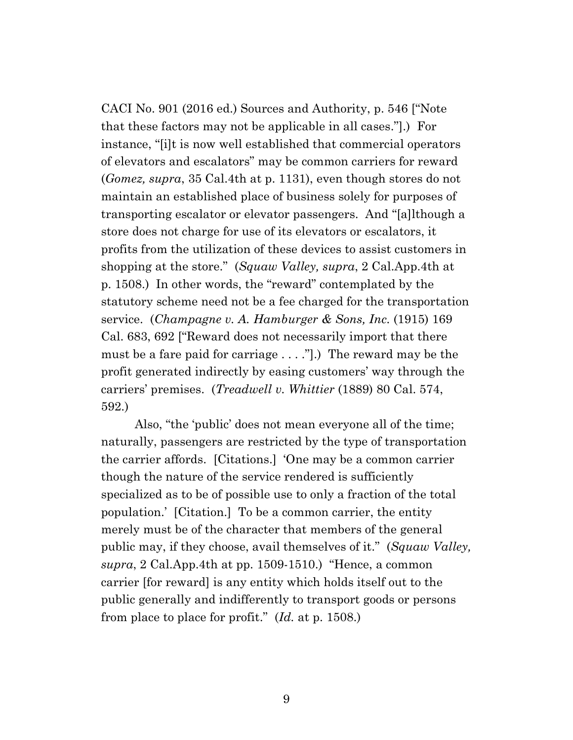CACI No. 901 (2016 ed.) Sources and Authority, p. 546 ["Note that these factors may not be applicable in all cases."].) For instance, "[i]t is now well established that commercial operators of elevators and escalators" may be common carriers for reward (*Gomez, supra*, 35 Cal.4th at p. 1131), even though stores do not maintain an established place of business solely for purposes of transporting escalator or elevator passengers. And "[a]lthough a store does not charge for use of its elevators or escalators, it profits from the utilization of these devices to assist customers in shopping at the store." (*Squaw Valley, supra*, 2 Cal.App.4th at p. 1508.) In other words, the "reward" contemplated by the statutory scheme need not be a fee charged for the transportation service. (*Champagne v. A. Hamburger & Sons, Inc.* (1915) 169 Cal. 683, 692 ["Reward does not necessarily import that there must be a fare paid for carriage . . . ."].) The reward may be the profit generated indirectly by easing customers' way through the carriers' premises. (*Treadwell v. Whittier* (1889) 80 Cal. 574, 592.)

Also, "the 'public' does not mean everyone all of the time; naturally, passengers are restricted by the type of transportation the carrier affords. [Citations.] 'One may be a common carrier though the nature of the service rendered is sufficiently specialized as to be of possible use to only a fraction of the total population.' [Citation.] To be a common carrier, the entity merely must be of the character that members of the general public may, if they choose, avail themselves of it." (*Squaw Valley, supra*, 2 Cal.App.4th at pp. 1509-1510.) "Hence, a common carrier [for reward] is any entity which holds itself out to the public generally and indifferently to transport goods or persons from place to place for profit." (*Id.* at p. 1508.)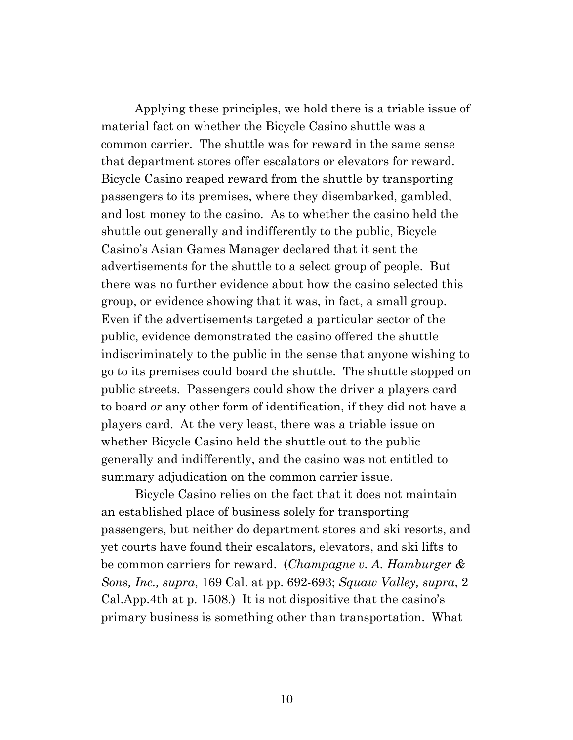Applying these principles, we hold there is a triable issue of material fact on whether the Bicycle Casino shuttle was a common carrier. The shuttle was for reward in the same sense that department stores offer escalators or elevators for reward. Bicycle Casino reaped reward from the shuttle by transporting passengers to its premises, where they disembarked, gambled, and lost money to the casino. As to whether the casino held the shuttle out generally and indifferently to the public, Bicycle Casino's Asian Games Manager declared that it sent the advertisements for the shuttle to a select group of people. But there was no further evidence about how the casino selected this group, or evidence showing that it was, in fact, a small group. Even if the advertisements targeted a particular sector of the public, evidence demonstrated the casino offered the shuttle indiscriminately to the public in the sense that anyone wishing to go to its premises could board the shuttle. The shuttle stopped on public streets. Passengers could show the driver a players card to board *or* any other form of identification, if they did not have a players card. At the very least, there was a triable issue on whether Bicycle Casino held the shuttle out to the public generally and indifferently, and the casino was not entitled to summary adjudication on the common carrier issue.

Bicycle Casino relies on the fact that it does not maintain an established place of business solely for transporting passengers, but neither do department stores and ski resorts, and yet courts have found their escalators, elevators, and ski lifts to be common carriers for reward. (*Champagne v. A. Hamburger & Sons, Inc., supra*, 169 Cal. at pp. 692-693; *Squaw Valley, supra*, 2 Cal.App.4th at p. 1508.) It is not dispositive that the casino's primary business is something other than transportation. What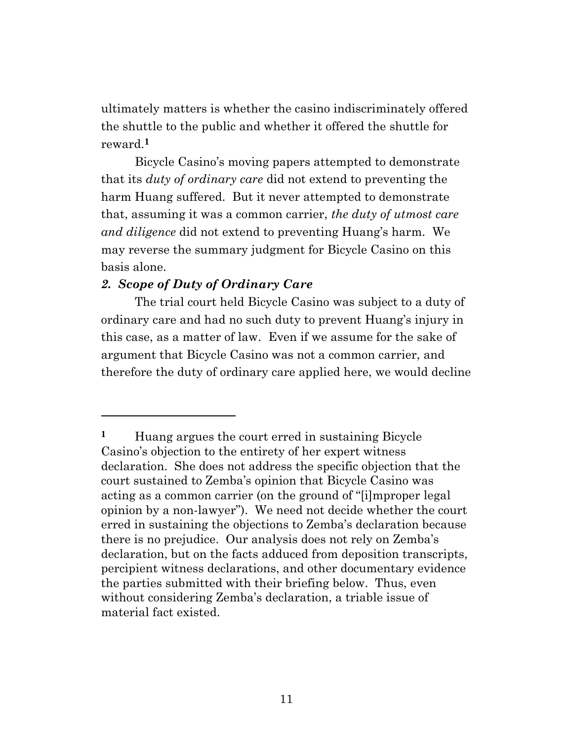ultimately matters is whether the casino indiscriminately offered the shuttle to the public and whether it offered the shuttle for reward.**1**

<span id="page-10-0"></span>Bicycle Casino's moving papers attempted to demonstrate that its *duty of ordinary care* did not extend to preventing the harm Huang suffered. But it never attempted to demonstrate that, assuming it was a common carrier, *the duty of utmost care and diligence* did not extend to preventing Huang's harm. We may reverse the summary judgment for Bicycle Casino on this basis alone.

## *2. Scope of Duty of Ordinary Care*

The trial court held Bicycle Casino was subject to a duty of ordinary care and had no such duty to prevent Huang's injury in this case, as a matter of law. Even if we assume for the sake of argument that Bicycle Casino was not a common carrier, and therefore the duty of ordinary care applied here, we would decline

**<sup>1</sup>** Huang argues the court erred in sustaining Bicycle Casino's objection to the entirety of her expert witness declaration. She does not address the specific objection that the court sustained to Zemba's opinion that Bicycle Casino was acting as a common carrier (on the ground of "[i]mproper legal opinion by a non-lawyer"). We need not decide whether the court erred in sustaining the objections to Zemba's declaration because there is no prejudice. Our analysis does not rely on Zemba's declaration, but on the facts adduced from deposition transcripts, percipient witness declarations, and other documentary evidence the parties submitted with their briefing below. Thus, even without considering Zemba's declaration, a triable issue of material fact existed.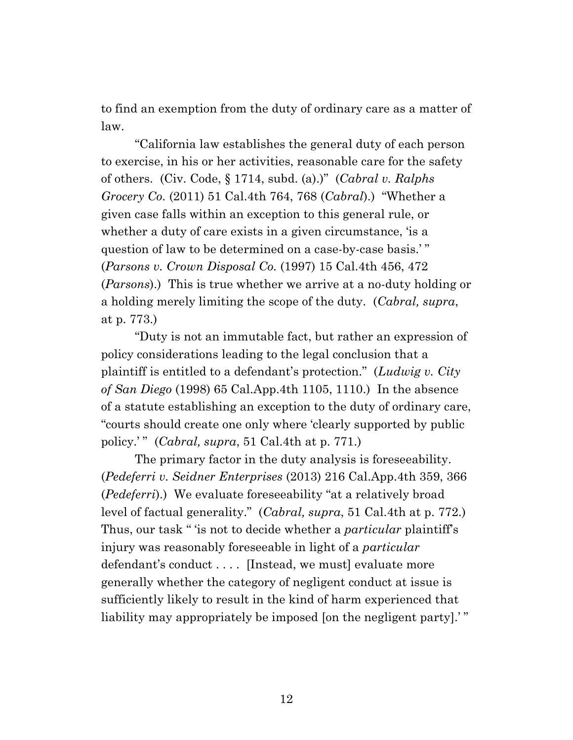to find an exemption from the duty of ordinary care as a matter of law.

"California law establishes the general duty of each person to exercise, in his or her activities, reasonable care for the safety of others. (Civ. Code, § 1714, subd. (a).)" (*Cabral v. Ralphs Grocery Co.* (2011) 51 Cal.4th 764, 768 (*Cabral*).) "Whether a given case falls within an exception to this general rule, or whether a duty of care exists in a given circumstance, 'is a question of law to be determined on a case-by-case basis.' " (*Parsons v. Crown Disposal Co.* (1997) 15 Cal.4th 456, 472 (*Parsons*).) This is true whether we arrive at a no-duty holding or a holding merely limiting the scope of the duty. (*Cabral, supra*, at p. 773.)

"Duty is not an immutable fact, but rather an expression of policy considerations leading to the legal conclusion that a plaintiff is entitled to a defendant's protection." (*Ludwig v. City of San Diego* (1998) 65 Cal.App.4th 1105, 1110.) In the absence of a statute establishing an exception to the duty of ordinary care, "courts should create one only where 'clearly supported by public policy.' " (*Cabral, supra*, 51 Cal.4th at p. 771.)

The primary factor in the duty analysis is foreseeability. (*Pedeferri v. Seidner Enterprises* (2013) 216 Cal.App.4th 359, 366 (*Pedeferri*).) We evaluate foreseeability "at a relatively broad level of factual generality." (*Cabral, supra*, 51 Cal.4th at p. 772.) Thus, our task " 'is not to decide whether a *particular* plaintiff's injury was reasonably foreseeable in light of a *particular* defendant's conduct .... [Instead, we must] evaluate more generally whether the category of negligent conduct at issue is sufficiently likely to result in the kind of harm experienced that liability may appropriately be imposed [on the negligent party].'"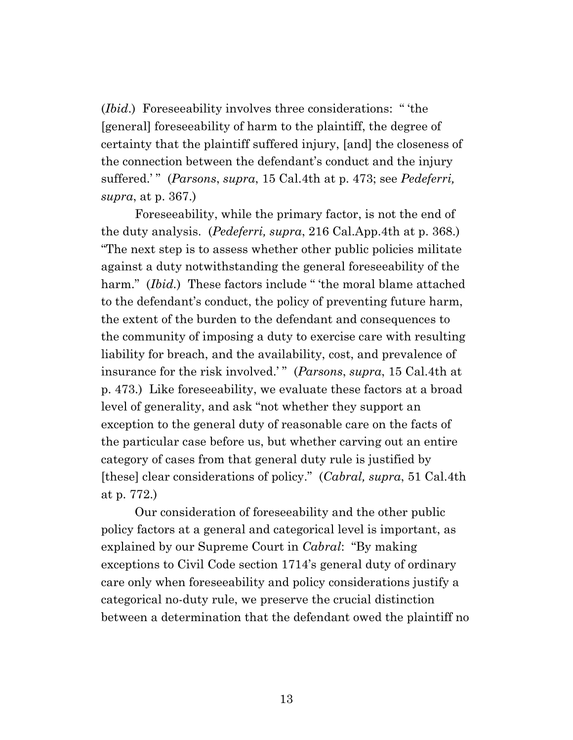(*Ibid*.) Foreseeability involves three considerations: " 'the [general] foreseeability of harm to the plaintiff, the degree of certainty that the plaintiff suffered injury, [and] the closeness of the connection between the defendant's conduct and the injury suffered.' " (*Parsons*, *supra*, 15 Cal.4th at p. 473; see *Pedeferri, supra*, at p. 367.)

Foreseeability, while the primary factor, is not the end of the duty analysis. (*Pedeferri, supra*, 216 Cal.App.4th at p. 368.) "The next step is to assess whether other public policies militate against a duty notwithstanding the general foreseeability of the harm." (*Ibid.*) These factors include "'the moral blame attached to the defendant's conduct, the policy of preventing future harm, the extent of the burden to the defendant and consequences to the community of imposing a duty to exercise care with resulting liability for breach, and the availability, cost, and prevalence of insurance for the risk involved.' " (*Parsons*, *supra*, 15 Cal.4th at p. 473.) Like foreseeability, we evaluate these factors at a broad level of generality, and ask "not whether they support an exception to the general duty of reasonable care on the facts of the particular case before us, but whether carving out an entire category of cases from that general duty rule is justified by [these] clear considerations of policy." (*Cabral, supra*, 51 Cal.4th at p. 772.)

Our consideration of foreseeability and the other public policy factors at a general and categorical level is important, as explained by our Supreme Court in *Cabral*: "By making exceptions to Civil Code section 1714's general duty of ordinary care only when foreseeability and policy considerations justify a categorical no-duty rule, we preserve the crucial distinction between a determination that the defendant owed the plaintiff no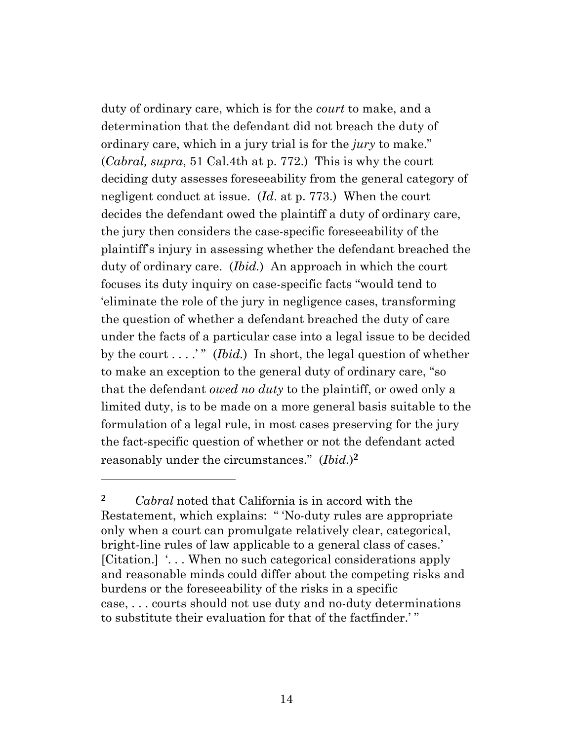duty of ordinary care, which is for the *court* to make, and a determination that the defendant did not breach the duty of ordinary care, which in a jury trial is for the *jury* to make." (*Cabral, supra*, 51 Cal.4th at p. 772.) This is why the court deciding duty assesses foreseeability from the general category of negligent conduct at issue. (*Id*. at p. 773.) When the court decides the defendant owed the plaintiff a duty of ordinary care, the jury then considers the case-specific foreseeability of the plaintiff's injury in assessing whether the defendant breached the duty of ordinary care. (*Ibid.*) An approach in which the court focuses its duty inquiry on case-specific facts "would tend to 'eliminate the role of the jury in negligence cases, transforming the question of whether a defendant breached the duty of care under the facts of a particular case into a legal issue to be decided by the court  $\dots$ ." (*Ibid.*) In short, the legal question of whether to make an exception to the general duty of ordinary care, "so that the defendant *owed no duty* to the plaintiff, or owed only a limited duty, is to be made on a more general basis suitable to the formulation of a legal rule, in most cases preserving for the jury the fact-specific question of whether or not the defendant acted reasonably under the circumstances." (*Ibid.*) **2**

**<sup>2</sup>** *Cabral* noted that California is in accord with the Restatement, which explains: " 'No-duty rules are appropriate only when a court can promulgate relatively clear, categorical, bright-line rules of law applicable to a general class of cases.' [Citation.] '. . . When no such categorical considerations apply and reasonable minds could differ about the competing risks and burdens or the foreseeability of the risks in a specific case, . . . courts should not use duty and no-duty determinations to substitute their evaluation for that of the factfinder.' "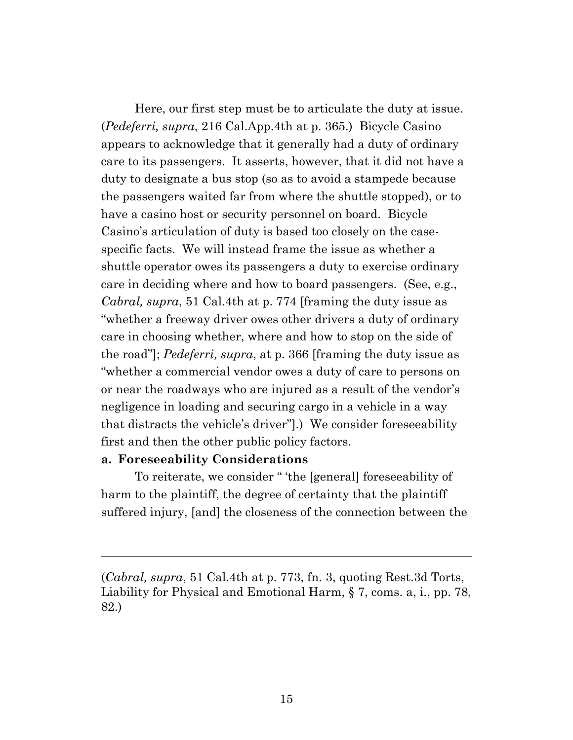Here, our first step must be to articulate the duty at issue. (*Pedeferri, supra*, 216 Cal.App.4th at p. 365.) Bicycle Casino appears to acknowledge that it generally had a duty of ordinary care to its passengers. It asserts, however, that it did not have a duty to designate a bus stop (so as to avoid a stampede because the passengers waited far from where the shuttle stopped), or to have a casino host or security personnel on board. Bicycle Casino's articulation of duty is based too closely on the casespecific facts. We will instead frame the issue as whether a shuttle operator owes its passengers a duty to exercise ordinary care in deciding where and how to board passengers. (See, e.g., *Cabral, supra*, 51 Cal.4th at p. 774 [framing the duty issue as "whether a freeway driver owes other drivers a duty of ordinary care in choosing whether, where and how to stop on the side of the road"]; *Pedeferri, supra*, at p. 366 [framing the duty issue as "whether a commercial vendor owes a duty of care to persons on or near the roadways who are injured as a result of the vendor's negligence in loading and securing cargo in a vehicle in a way that distracts the vehicle's driver"].) We consider foreseeability first and then the other public policy factors.

### **a. Foreseeability Considerations**

To reiterate, we consider " 'the [general] foreseeability of harm to the plaintiff, the degree of certainty that the plaintiff suffered injury, [and] the closeness of the connection between the

(*Cabral, supra*, 51 Cal.4th at p. 773, fn. 3, quoting Rest.3d Torts, Liability for Physical and Emotional Harm, § 7, coms. a, i., pp. 78, 82.)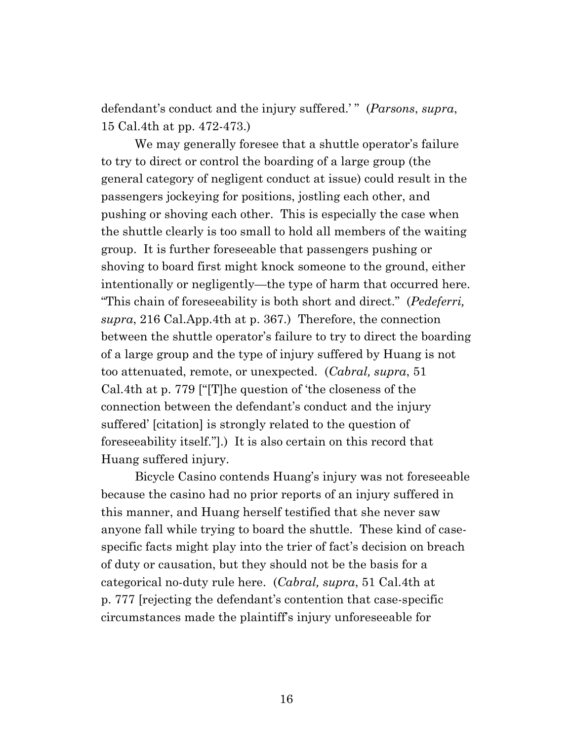defendant's conduct and the injury suffered.' " (*Parsons*, *supra*, 15 Cal.4th at pp. 472-473.)

We may generally foresee that a shuttle operator's failure to try to direct or control the boarding of a large group (the general category of negligent conduct at issue) could result in the passengers jockeying for positions, jostling each other, and pushing or shoving each other. This is especially the case when the shuttle clearly is too small to hold all members of the waiting group. It is further foreseeable that passengers pushing or shoving to board first might knock someone to the ground, either intentionally or negligently—the type of harm that occurred here. "This chain of foreseeability is both short and direct." (*Pedeferri, supra*, 216 Cal.App.4th at p. 367.) Therefore, the connection between the shuttle operator's failure to try to direct the boarding of a large group and the type of injury suffered by Huang is not too attenuated, remote, or unexpected. (*Cabral, supra*, 51 Cal.4th at p. 779 ["[T]he question of 'the closeness of the connection between the defendant's conduct and the injury suffered' [citation] is strongly related to the question of foreseeability itself."].) It is also certain on this record that Huang suffered injury.

Bicycle Casino contends Huang's injury was not foreseeable because the casino had no prior reports of an injury suffered in this manner, and Huang herself testified that she never saw anyone fall while trying to board the shuttle. These kind of casespecific facts might play into the trier of fact's decision on breach of duty or causation, but they should not be the basis for a categorical no-duty rule here. (*Cabral, supra*, 51 Cal.4th at p. 777 [rejecting the defendant's contention that case-specific circumstances made the plaintiff's injury unforeseeable for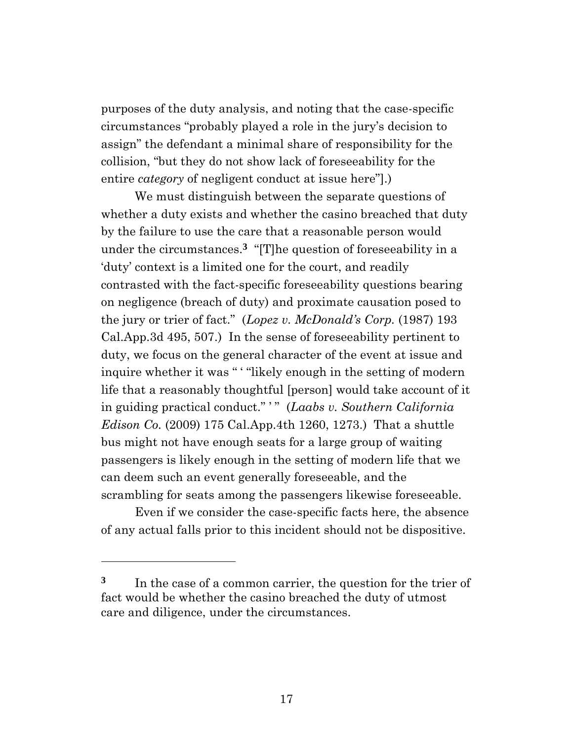purposes of the duty analysis, and noting that the case-specific circumstances "probably played a role in the jury's decision to assign" the defendant a minimal share of responsibility for the collision, "but they do not show lack of foreseeability for the entire *category* of negligent conduct at issue here"].)

We must distinguish between the separate questions of whether a duty exists and whether the casino breached that duty by the failure to use the care that a reasonable person would under the circumstances.**3** "[T]he question of foreseeability in a 'duty' context is a limited one for the court, and readily contrasted with the fact-specific foreseeability questions bearing on negligence (breach of duty) and proximate causation posed to the jury or trier of fact." (*Lopez v. McDonald's Corp.* (1987) 193 Cal.App.3d 495, 507.) In the sense of foreseeability pertinent to duty, we focus on the general character of the event at issue and inquire whether it was " "likely enough in the setting of modern life that a reasonably thoughtful [person] would take account of it in guiding practical conduct." ' " (*Laabs v. Southern California Edison Co.* (2009) 175 Cal.App.4th 1260, 1273.) That a shuttle bus might not have enough seats for a large group of waiting passengers is likely enough in the setting of modern life that we can deem such an event generally foreseeable, and the scrambling for seats among the passengers likewise foreseeable.

Even if we consider the case-specific facts here, the absence of any actual falls prior to this incident should not be dispositive.

**<sup>3</sup>** In the case of a common carrier, the question for the trier of fact would be whether the casino breached the duty of utmost care and diligence, under the circumstances.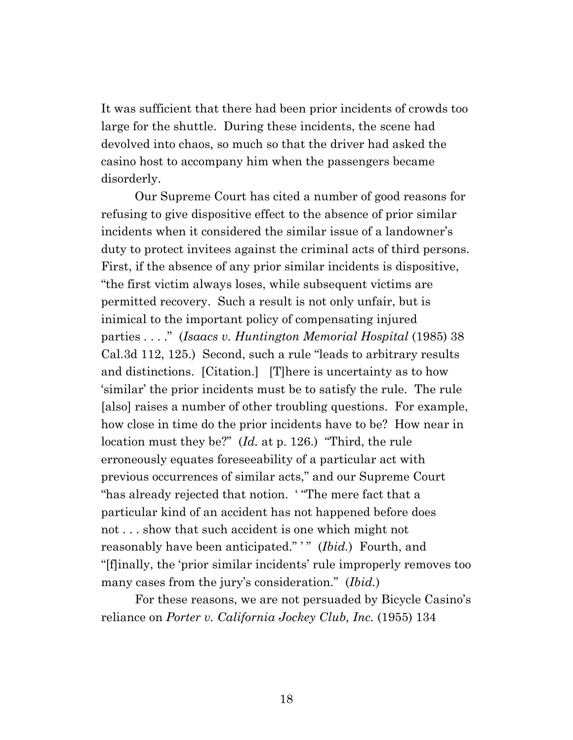It was sufficient that there had been prior incidents of crowds too large for the shuttle. During these incidents, the scene had devolved into chaos, so much so that the driver had asked the casino host to accompany him when the passengers became disorderly.

Our Supreme Court has cited a number of good reasons for refusing to give dispositive effect to the absence of prior similar incidents when it considered the similar issue of a landowner's duty to protect invitees against the criminal acts of third persons. First, if the absence of any prior similar incidents is dispositive, "the first victim always loses, while subsequent victims are permitted recovery. Such a result is not only unfair, but is inimical to the important policy of compensating injured parties . . . ." (*Isaacs v. Huntington Memorial Hospital* (1985) 38 Cal.3d 112, 125.) Second, such a rule "leads to arbitrary results and distinctions. [Citation.] [T]here is uncertainty as to how 'similar' the prior incidents must be to satisfy the rule. The rule [also] raises a number of other troubling questions. For example, how close in time do the prior incidents have to be? How near in location must they be?" (*Id.* at p. 126.) "Third, the rule erroneously equates foreseeability of a particular act with previous occurrences of similar acts," and our Supreme Court "has already rejected that notion. ' "The mere fact that a particular kind of an accident has not happened before does not . . . show that such accident is one which might not reasonably have been anticipated." " (*Ibid.*) Fourth, and "[f]inally, the 'prior similar incidents' rule improperly removes too many cases from the jury's consideration." (*Ibid.*)

For these reasons, we are not persuaded by Bicycle Casino's reliance on *Porter v. California Jockey Club, Inc.* (1955) 134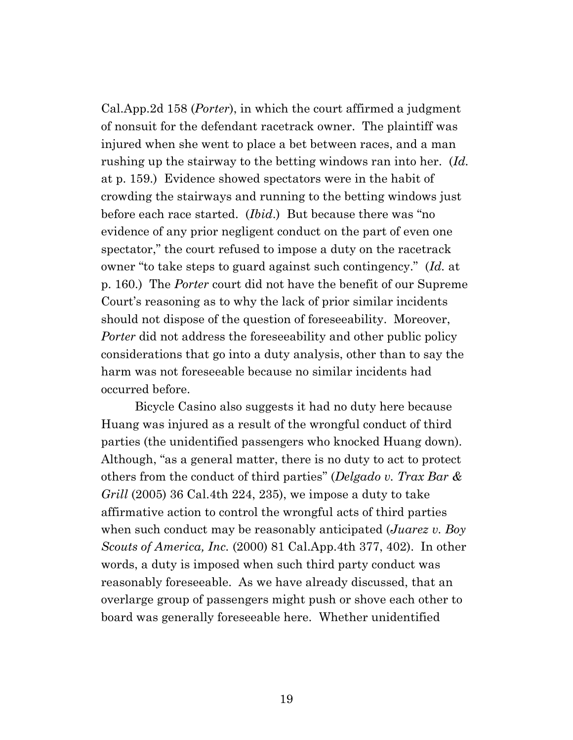Cal.App.2d 158 (*Porter*), in which the court affirmed a judgment of nonsuit for the defendant racetrack owner. The plaintiff was injured when she went to place a bet between races, and a man rushing up the stairway to the betting windows ran into her. (*Id.* at p. 159.) Evidence showed spectators were in the habit of crowding the stairways and running to the betting windows just before each race started. (*Ibid*.) But because there was "no evidence of any prior negligent conduct on the part of even one spectator," the court refused to impose a duty on the racetrack owner "to take steps to guard against such contingency." (*Id.* at p. 160.) The *Porter* court did not have the benefit of our Supreme Court's reasoning as to why the lack of prior similar incidents should not dispose of the question of foreseeability. Moreover, *Porter* did not address the foreseeability and other public policy considerations that go into a duty analysis, other than to say the harm was not foreseeable because no similar incidents had occurred before.

Bicycle Casino also suggests it had no duty here because Huang was injured as a result of the wrongful conduct of third parties (the unidentified passengers who knocked Huang down). Although, "as a general matter, there is no duty to act to protect others from the conduct of third parties" (*Delgado v. Trax Bar & Grill* (2005) 36 Cal.4th 224, 235), we impose a duty to take affirmative action to control the wrongful acts of third parties when such conduct may be reasonably anticipated (*Juarez v. Boy Scouts of America, Inc.* (2000) 81 Cal.App.4th 377, 402). In other words, a duty is imposed when such third party conduct was reasonably foreseeable. As we have already discussed, that an overlarge group of passengers might push or shove each other to board was generally foreseeable here. Whether unidentified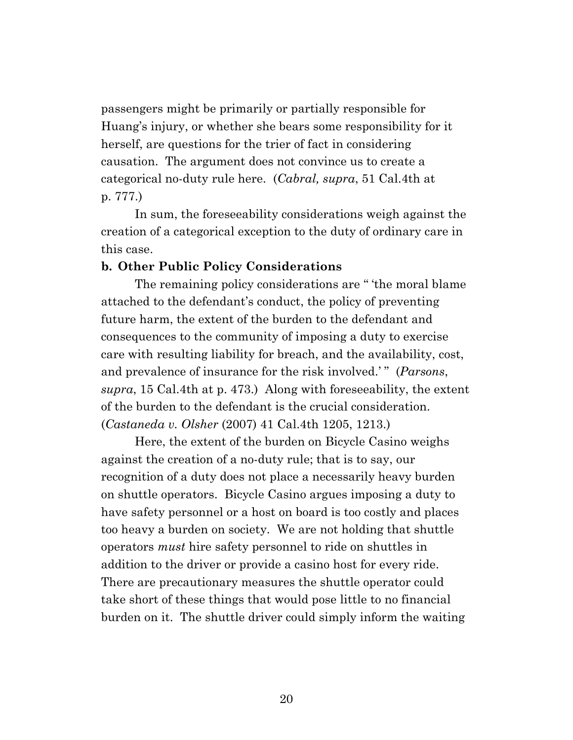passengers might be primarily or partially responsible for Huang's injury, or whether she bears some responsibility for it herself, are questions for the trier of fact in considering causation. The argument does not convince us to create a categorical no-duty rule here. (*Cabral, supra*, 51 Cal.4th at p. 777.)

In sum, the foreseeability considerations weigh against the creation of a categorical exception to the duty of ordinary care in this case.

## **b. Other Public Policy Considerations**

The remaining policy considerations are " 'the moral blame attached to the defendant's conduct, the policy of preventing future harm, the extent of the burden to the defendant and consequences to the community of imposing a duty to exercise care with resulting liability for breach, and the availability, cost, and prevalence of insurance for the risk involved.'" (*Parsons*, *supra*, 15 Cal.4th at p. 473.) Along with foreseeability, the extent of the burden to the defendant is the crucial consideration. (*Castaneda v. Olsher* (2007) 41 Cal.4th 1205, 1213.)

Here, the extent of the burden on Bicycle Casino weighs against the creation of a no-duty rule; that is to say, our recognition of a duty does not place a necessarily heavy burden on shuttle operators. Bicycle Casino argues imposing a duty to have safety personnel or a host on board is too costly and places too heavy a burden on society. We are not holding that shuttle operators *must* hire safety personnel to ride on shuttles in addition to the driver or provide a casino host for every ride. There are precautionary measures the shuttle operator could take short of these things that would pose little to no financial burden on it. The shuttle driver could simply inform the waiting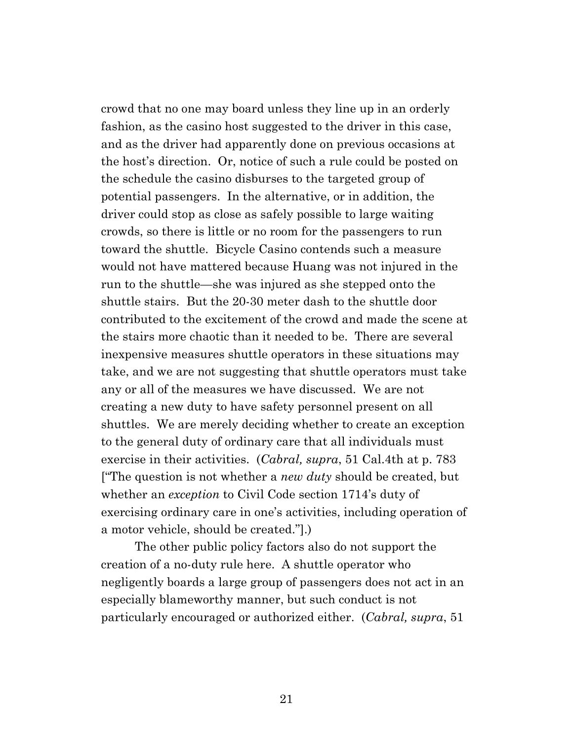crowd that no one may board unless they line up in an orderly fashion, as the casino host suggested to the driver in this case, and as the driver had apparently done on previous occasions at the host's direction. Or, notice of such a rule could be posted on the schedule the casino disburses to the targeted group of potential passengers. In the alternative, or in addition, the driver could stop as close as safely possible to large waiting crowds, so there is little or no room for the passengers to run toward the shuttle. Bicycle Casino contends such a measure would not have mattered because Huang was not injured in the run to the shuttle—she was injured as she stepped onto the shuttle stairs. But the 20-30 meter dash to the shuttle door contributed to the excitement of the crowd and made the scene at the stairs more chaotic than it needed to be. There are several inexpensive measures shuttle operators in these situations may take, and we are not suggesting that shuttle operators must take any or all of the measures we have discussed. We are not creating a new duty to have safety personnel present on all shuttles. We are merely deciding whether to create an exception to the general duty of ordinary care that all individuals must exercise in their activities. (*Cabral, supra*, 51 Cal.4th at p. 783 ["The question is not whether a *new duty* should be created, but whether an *exception* to Civil Code section 1714's duty of exercising ordinary care in one's activities, including operation of a motor vehicle, should be created."].)

The other public policy factors also do not support the creation of a no-duty rule here. A shuttle operator who negligently boards a large group of passengers does not act in an especially blameworthy manner, but such conduct is not particularly encouraged or authorized either. (*Cabral, supra*, 51

21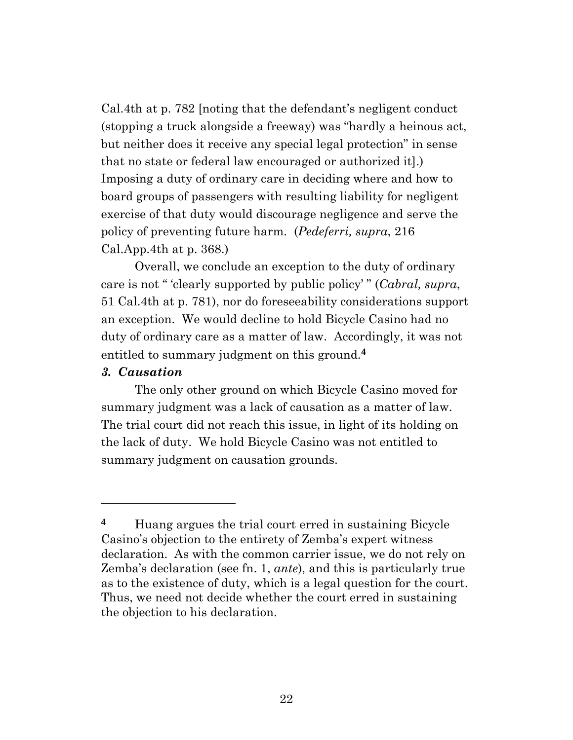Cal.4th at p. 782 [noting that the defendant's negligent conduct (stopping a truck alongside a freeway) was "hardly a heinous act, but neither does it receive any special legal protection" in sense that no state or federal law encouraged or authorized it].) Imposing a duty of ordinary care in deciding where and how to board groups of passengers with resulting liability for negligent exercise of that duty would discourage negligence and serve the policy of preventing future harm. (*Pedeferri, supra*, 216 Cal.App.4th at p. 368.)

Overall, we conclude an exception to the duty of ordinary care is not " 'clearly supported by public policy' " (*Cabral, supra*, 51 Cal.4th at p. 781), nor do foreseeability considerations support an exception. We would decline to hold Bicycle Casino had no duty of ordinary care as a matter of law. Accordingly, it was not entitled to summary judgment on this ground.**4**

## *3. Causation*

The only other ground on which Bicycle Casino moved for summary judgment was a lack of causation as a matter of law. The trial court did not reach this issue, in light of its holding on the lack of duty. We hold Bicycle Casino was not entitled to summary judgment on causation grounds.

**<sup>4</sup>** Huang argues the trial court erred in sustaining Bicycle Casino's objection to the entirety of Zemba's expert witness declaration. As with the common carrier issue, we do not rely on Zemba's declaration (see fn. [1,](#page-10-0) *ante*), and this is particularly true as to the existence of duty, which is a legal question for the court. Thus, we need not decide whether the court erred in sustaining the objection to his declaration.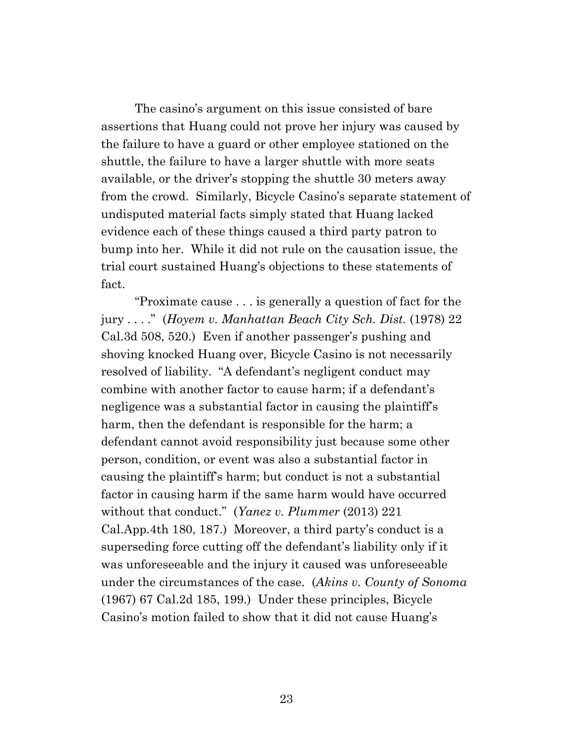The casino's argument on this issue consisted of bare assertions that Huang could not prove her injury was caused by the failure to have a guard or other employee stationed on the shuttle, the failure to have a larger shuttle with more seats available, or the driver's stopping the shuttle 30 meters away from the crowd. Similarly, Bicycle Casino's separate statement of undisputed material facts simply stated that Huang lacked evidence each of these things caused a third party patron to bump into her. While it did not rule on the causation issue, the trial court sustained Huang's objections to these statements of fact.

"Proximate cause . . . is generally a question of fact for the jury . . . ." (*Hoyem v. Manhattan Beach City Sch. Dist.* (1978) 22 Cal.3d 508, 520.) Even if another passenger's pushing and shoving knocked Huang over, Bicycle Casino is not necessarily resolved of liability. "A defendant's negligent conduct may combine with another factor to cause harm; if a defendant's negligence was a substantial factor in causing the plaintiff's harm, then the defendant is responsible for the harm; a defendant cannot avoid responsibility just because some other person, condition, or event was also a substantial factor in causing the plaintiff's harm; but conduct is not a substantial factor in causing harm if the same harm would have occurred without that conduct." (*Yanez v. Plummer* (2013) 221 Cal.App.4th 180, 187.) Moreover, a third party's conduct is a superseding force cutting off the defendant's liability only if it was unforeseeable and the injury it caused was unforeseeable under the circumstances of the case. (*Akins v. County of Sonoma* (1967) 67 Cal.2d 185, 199.) Under these principles, Bicycle Casino's motion failed to show that it did not cause Huang's